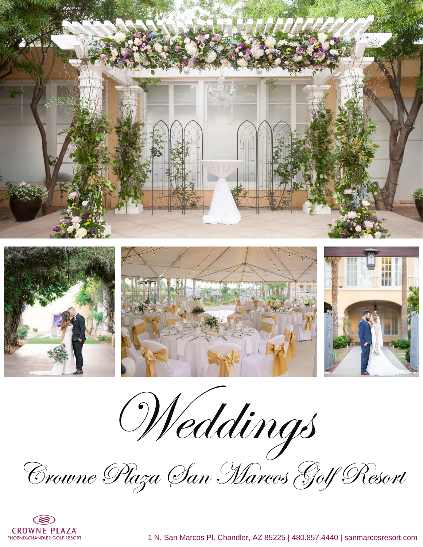









Crowne Plaza San Marcos Golf Resort

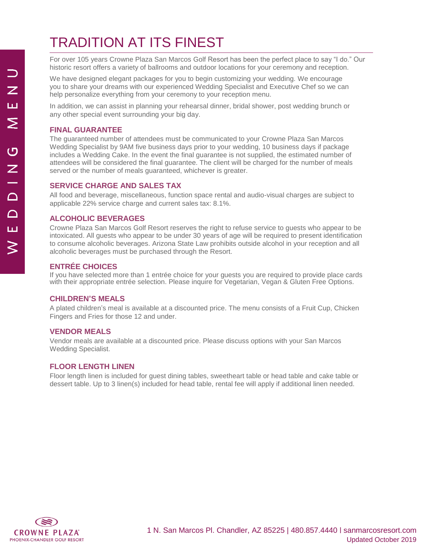# TRADITION AT ITS FINEST

For over 105 years Crowne Plaza San Marcos Golf Resort has been the perfect place to say "I do." Our historic resort offers a variety of ballrooms and outdoor locations for your ceremony and reception.

We have designed elegant packages for you to begin customizing your wedding. We encourage you to share your dreams with our experienced Wedding Specialist and Executive Chef so we can help personalize everything from your ceremony to your reception menu.

In addition, we can assist in planning your rehearsal dinner, bridal shower, post wedding brunch or any other special event surrounding your big day.

#### **FINAL GUARANTEE**

The guaranteed number of attendees must be communicated to your Crowne Plaza San Marcos Wedding Specialist by 9AM five business days prior to your wedding, 10 business days if package includes a Wedding Cake. In the event the final guarantee is not supplied, the estimated number of attendees will be considered the final guarantee. The client will be charged for the number of meals served or the number of meals guaranteed, whichever is greater.

#### **SERVICE CHARGE AND SALES TAX**

All food and beverage, miscellaneous, function space rental and audio-visual charges are subject to applicable 22% service charge and current sales tax: 8.1%.

#### **ALCOHOLIC BEVERAGES**

Crowne Plaza San Marcos Golf Resort reserves the right to refuse service to guests who appear to be intoxicated. All guests who appear to be under 30 years of age will be required to present identification to consume alcoholic beverages. Arizona State Law prohibits outside alcohol in your reception and all alcoholic beverages must be purchased through the Resort.

#### **ENTRÉE CHOICES**

If you have selected more than 1 entrée choice for your guests you are required to provide place cards with their appropriate entrée selection. Please inquire for Vegetarian, Vegan & Gluten Free Options.

#### **CHILDREN'S MEALS**

A plated children's meal is available at a discounted price. The menu consists of a Fruit Cup, Chicken Fingers and Fries for those 12 and under.

#### **VENDOR MEALS**

Vendor meals are available at a discounted price. Please discuss options with your San Marcos Wedding Specialist.

#### **FLOOR LENGTH LINEN**

Floor length linen is included for guest dining tables, sweetheart table or head table and cake table or dessert table. Up to 3 linen(s) included for head table, rental fee will apply if additional linen needed.

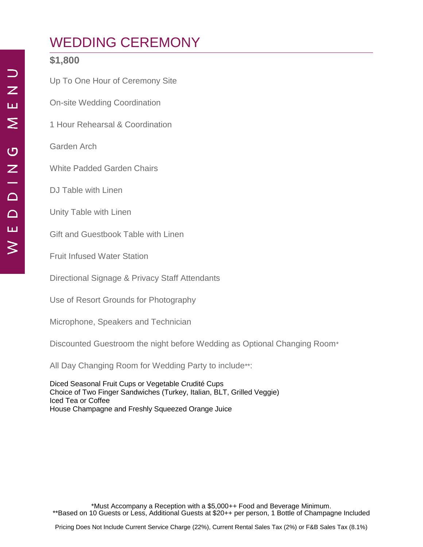# WEDDING CEREMONY

### **\$1,800**

Up To One Hour of Ceremony Site

On-site Wedding Coordination

1 Hour Rehearsal & Coordination

Garden Arch

White Padded Garden Chairs

DJ Table with Linen

Unity Table with Linen

Gift and Guestbook Table with Linen

Fruit Infused Water Station

Directional Signage & Privacy Staff Attendants

Use of Resort Grounds for Photography

Microphone, Speakers and Technician

Discounted Guestroom the night before Wedding as Optional Changing Room\*

All Day Changing Room for Wedding Party to include\*\*:

Diced Seasonal Fruit Cups or Vegetable Crudité Cups Choice of Two Finger Sandwiches (Turkey, Italian, BLT, Grilled Veggie) Iced Tea or Coffee House Champagne and Freshly Squeezed Orange Juice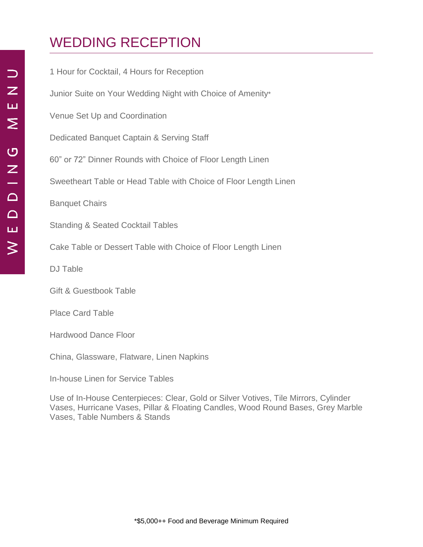# WEDDING RECEPTION

| 1 Hour for Cocktail, 4 Hours for Reception                       |
|------------------------------------------------------------------|
| Junior Suite on Your Wedding Night with Choice of Amenity*       |
| Venue Set Up and Coordination                                    |
| Dedicated Banquet Captain & Serving Staff                        |
| 60" or 72" Dinner Rounds with Choice of Floor Length Linen       |
| Sweetheart Table or Head Table with Choice of Floor Length Linen |
| <b>Banquet Chairs</b>                                            |
| <b>Standing &amp; Seated Cocktail Tables</b>                     |
| Cake Table or Dessert Table with Choice of Floor Length Linen    |
| <b>DJ Table</b>                                                  |
| <b>Gift &amp; Guestbook Table</b>                                |

Place Card Table

Hardwood Dance Floor

China, Glassware, Flatware, Linen Napkins

In-house Linen for Service Tables

Use of In-House Centerpieces: Clear, Gold or Silver Votives, Tile Mirrors, Cylinder Vases, Hurricane Vases, Pillar & Floating Candles, Wood Round Bases, Grey Marble Vases, Table Numbers & Stands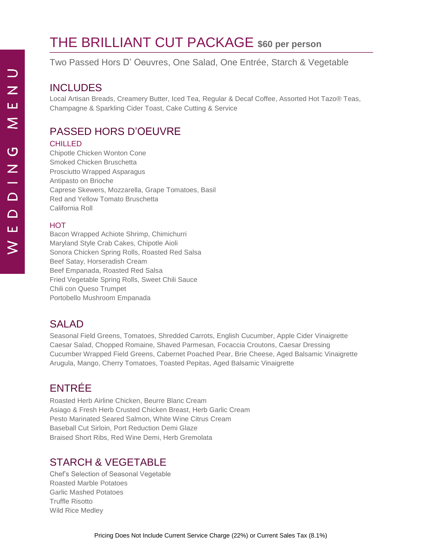# THE BRILLIANT CUT PACKAGE **\$60 per person**

Two Passed Hors D' Oeuvres, One Salad, One Entrée, Starch & Vegetable

## INCLUDES

Local Artisan Breads, Creamery Butter, Iced Tea, Regular & Decaf Coffee, Assorted Hot Tazo® Teas, Champagne & Sparkling Cider Toast, Cake Cutting & Service

## PASSED HORS D'OEUVRE

#### **CHILLED**

Chipotle Chicken Wonton Cone Smoked Chicken Bruschetta Prosciutto Wrapped Asparagus Antipasto on Brioche Caprese Skewers, Mozzarella, Grape Tomatoes, Basil Red and Yellow Tomato Bruschetta California Roll

#### **HOT**

Bacon Wrapped Achiote Shrimp, Chimichurri Maryland Style Crab Cakes, Chipotle Aioli Sonora Chicken Spring Rolls, Roasted Red Salsa Beef Satay, Horseradish Cream Beef Empanada, Roasted Red Salsa Fried Vegetable Spring Rolls, Sweet Chili Sauce Chili con Queso Trumpet Portobello Mushroom Empanada

### SALAD

Seasonal Field Greens, Tomatoes, Shredded Carrots, English Cucumber, Apple Cider Vinaigrette Caesar Salad, Chopped Romaine, Shaved Parmesan, Focaccia Croutons, Caesar Dressing Cucumber Wrapped Field Greens, Cabernet Poached Pear, Brie Cheese, Aged Balsamic Vinaigrette Arugula, Mango, Cherry Tomatoes, Toasted Pepitas, Aged Balsamic Vinaigrette

## ENTRÉE

Roasted Herb Airline Chicken, Beurre Blanc Cream Asiago & Fresh Herb Crusted Chicken Breast, Herb Garlic Cream Pesto Marinated Seared Salmon, White Wine Citrus Cream Baseball Cut Sirloin, Port Reduction Demi Glaze Braised Short Ribs, Red Wine Demi, Herb Gremolata

## STARCH & VEGETABLE

Chef's Selection of Seasonal Vegetable Roasted Marble Potatoes Garlic Mashed Potatoes Truffle Risotto Wild Rice Medley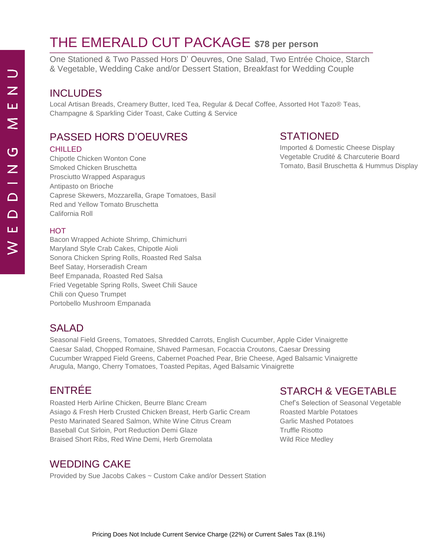# THE EMERALD CUT PACKAGE **\$78 per person**

One Stationed & Two Passed Hors D' Oeuvres, One Salad, Two Entrée Choice, Starch & Vegetable, Wedding Cake and/or Dessert Station, Breakfast for Wedding Couple

### INCLUDES

Local Artisan Breads, Creamery Butter, Iced Tea, Regular & Decaf Coffee, Assorted Hot Tazo® Teas, Champagne & Sparkling Cider Toast, Cake Cutting & Service

### PASSED HORS D'OEUVRES

#### **CHILLED**

Chipotle Chicken Wonton Cone Smoked Chicken Bruschetta Prosciutto Wrapped Asparagus Antipasto on Brioche Caprese Skewers, Mozzarella, Grape Tomatoes, Basil Red and Yellow Tomato Bruschetta California Roll

#### **HOT**

Bacon Wrapped Achiote Shrimp, Chimichurri Maryland Style Crab Cakes, Chipotle Aioli Sonora Chicken Spring Rolls, Roasted Red Salsa Beef Satay, Horseradish Cream Beef Empanada, Roasted Red Salsa Fried Vegetable Spring Rolls, Sweet Chili Sauce Chili con Queso Trumpet Portobello Mushroom Empanada

#### SALAD

Seasonal Field Greens, Tomatoes, Shredded Carrots, English Cucumber, Apple Cider Vinaigrette Caesar Salad, Chopped Romaine, Shaved Parmesan, Focaccia Croutons, Caesar Dressing Cucumber Wrapped Field Greens, Cabernet Poached Pear, Brie Cheese, Aged Balsamic Vinaigrette Arugula, Mango, Cherry Tomatoes, Toasted Pepitas, Aged Balsamic Vinaigrette

## ENTRÉE

Roasted Herb Airline Chicken, Beurre Blanc Cream Asiago & Fresh Herb Crusted Chicken Breast, Herb Garlic Cream Pesto Marinated Seared Salmon, White Wine Citrus Cream Baseball Cut Sirloin, Port Reduction Demi Glaze Braised Short Ribs, Red Wine Demi, Herb Gremolata

## WEDDING CAKE

Provided by Sue Jacobs Cakes ~ Custom Cake and/or Dessert Station

## STATIONED

Imported & Domestic Cheese Display Vegetable Crudité & Charcuterie Board Tomato, Basil Bruschetta & Hummus Display

### STARCH & VEGETABLE

Chef's Selection of Seasonal Vegetable Roasted Marble Potatoes Garlic Mashed Potatoes Truffle Risotto Wild Rice Medley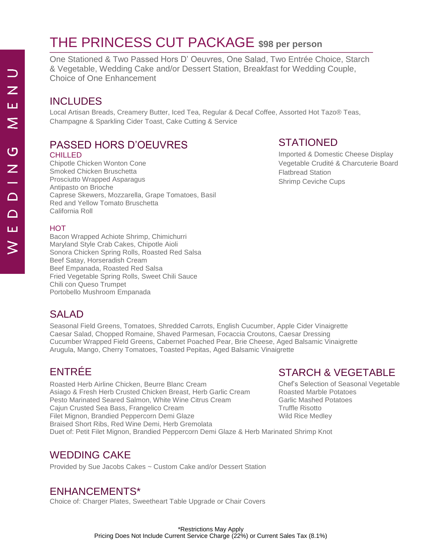# THE PRINCESS CUT PACKAGE **\$98 per person**

One Stationed & Two Passed Hors D' Oeuvres, One Salad, Two Entrée Choice, Starch & Vegetable, Wedding Cake and/or Dessert Station, Breakfast for Wedding Couple, Choice of One Enhancement

## INCLUDES

Local Artisan Breads, Creamery Butter, Iced Tea, Regular & Decaf Coffee, Assorted Hot Tazo® Teas, Champagne & Sparkling Cider Toast, Cake Cutting & Service

## PASSED HORS D'OEUVRES

#### **CHILLED**

Chipotle Chicken Wonton Cone Smoked Chicken Bruschetta Prosciutto Wrapped Asparagus Antipasto on Brioche Caprese Skewers, Mozzarella, Grape Tomatoes, Basil Red and Yellow Tomato Bruschetta California Roll

## STATIONED

Imported & Domestic Cheese Display Vegetable Crudité & Charcuterie Board Flatbread Station Shrimp Ceviche Cups

#### **HOT**

Bacon Wrapped Achiote Shrimp, Chimichurri Maryland Style Crab Cakes, Chipotle Aioli Sonora Chicken Spring Rolls, Roasted Red Salsa Beef Satay, Horseradish Cream Beef Empanada, Roasted Red Salsa Fried Vegetable Spring Rolls, Sweet Chili Sauce Chili con Queso Trumpet Portobello Mushroom Empanada

## SALAD.

Seasonal Field Greens, Tomatoes, Shredded Carrots, English Cucumber, Apple Cider Vinaigrette Caesar Salad, Chopped Romaine, Shaved Parmesan, Focaccia Croutons, Caesar Dressing Cucumber Wrapped Field Greens, Cabernet Poached Pear, Brie Cheese, Aged Balsamic Vinaigrette Arugula, Mango, Cherry Tomatoes, Toasted Pepitas, Aged Balsamic Vinaigrette

## ENTRÉE

Roasted Herb Airline Chicken, Beurre Blanc Cream Asiago & Fresh Herb Crusted Chicken Breast, Herb Garlic Cream Pesto Marinated Seared Salmon, White Wine Citrus Cream Cajun Crusted Sea Bass, Frangelico Cream Filet Mignon, Brandied Peppercorn Demi Glaze Braised Short Ribs, Red Wine Demi, Herb Gremolata Duet of: Petit Filet Mignon, Brandied Peppercorn Demi Glaze & Herb Marinated Shrimp Knot Truffle Risotto Wild Rice Medley

## STARCH & VEGETABLE

Chef's Selection of Seasonal Vegetable Roasted Marble Potatoes Garlic Mashed Potatoes

## WEDDING CAKE

Provided by Sue Jacobs Cakes ~ Custom Cake and/or Dessert Station

### ENHANCEMENTS\*

Choice of: Charger Plates, Sweetheart Table Upgrade or Chair Covers